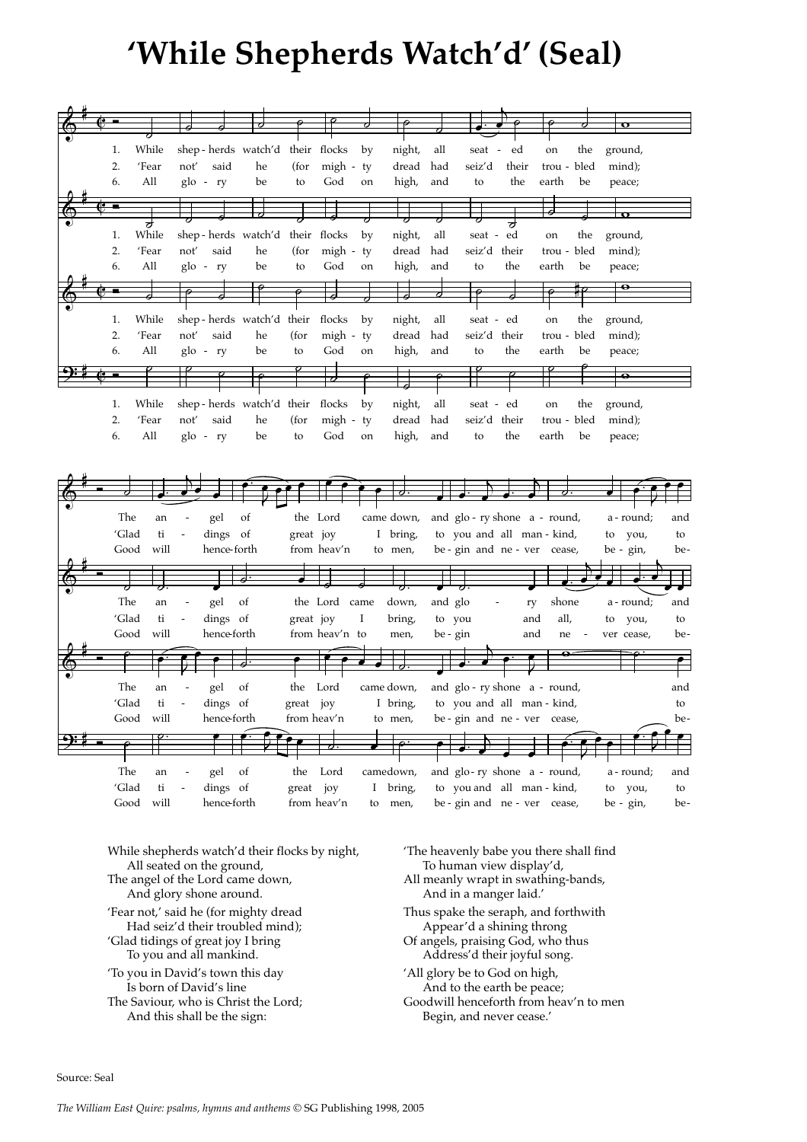## **'While Shepherds Watch'd' (Seal)**

| 1.<br>While |                            |             | shep-herds watch'd their flocks |             |                | by | night,     | all      | seat -                       | ed    | on          | the | ground,          |     |
|-------------|----------------------------|-------------|---------------------------------|-------------|----------------|----|------------|----------|------------------------------|-------|-------------|-----|------------------|-----|
|             |                            |             |                                 |             |                |    |            |          |                              |       |             |     |                  |     |
| 2.<br>'Fear | not'                       | said        | he                              | (for        | $migh - ty$    |    | dread      | had      | seiz'd                       | their | trou - bled |     | mind);           |     |
| 6.<br>All   |                            | glo - ry    | be                              | to          | God            | on | high,      | and      | to                           | the   | earth       | be  | peace;           |     |
|             |                            |             |                                 |             |                |    |            |          |                              |       |             |     |                  |     |
|             |                            |             |                                 |             |                |    |            |          |                              |       |             |     |                  |     |
|             |                            |             |                                 |             |                |    |            |          |                              |       |             |     | $\mathbf \sigma$ |     |
| While<br>1. |                            |             | shep-herds watch'd              |             | their flocks   | by | night,     | all      | seat -                       | ed    | on          | the | ground,          |     |
| 2.<br>'Fear |                            | said        |                                 |             |                |    | dread      |          | seiz'd their                 |       |             |     |                  |     |
|             | not'                       |             | he                              | (for        | migh - ty      |    |            | had      |                              |       | trou - bled |     | mind);           |     |
| 6.<br>All   |                            | $g$ lo - ry | be                              | to          | God            | on | high,      | and      | to                           | the   | earth       | be  | peace;           |     |
|             |                            |             |                                 |             |                |    |            |          |                              |       |             |     | $\bullet$        |     |
|             |                            |             |                                 |             |                |    |            |          |                              |       |             |     |                  |     |
|             |                            |             |                                 |             |                |    |            |          |                              |       |             |     |                  |     |
| While<br>1. |                            |             | shep-herds watch'd their flocks |             |                | by | night,     | all      | seat - ed                    |       | on          | the | ground,          |     |
| 2.<br>'Fear | not'                       | said        | he                              | (for        | $migh - ty$    |    | dread      | had      | seiz'd their                 |       | trou - bled |     | mind);           |     |
|             |                            |             |                                 |             |                |    |            |          |                              |       |             |     |                  |     |
| All<br>6.   | glo                        | $-ry$       | be                              | to          | God            | on | high,      | and      | to                           | the   | earth       | be  | peace;           |     |
|             |                            |             |                                 |             |                |    |            |          | $\sigma$                     |       |             |     |                  |     |
|             |                            |             |                                 |             |                |    |            |          |                              |       |             |     | $\bullet$        |     |
|             |                            |             |                                 |             |                |    |            |          |                              |       |             |     |                  |     |
| 1.<br>While |                            |             | shep-herds watch'd their flocks |             |                | by | night,     | all      | seat - ed                    |       | on          | the | ground,          |     |
| 'Fear<br>2. | not'                       | said        | he                              | (for        | migh - ty      |    | dread      | had      | seiz'd their                 |       | trou - bled |     | mind);           |     |
| 6.<br>All   |                            | glo - ry    | be                              | to          | God            | on | high,      | and      | to                           | the   | earth       | be  | peace;           |     |
|             |                            |             |                                 |             |                |    |            |          |                              |       |             |     |                  |     |
|             |                            |             |                                 |             |                |    |            |          |                              |       |             |     |                  |     |
|             |                            |             |                                 |             |                |    |            |          |                              |       |             |     |                  |     |
|             |                            |             |                                 |             |                |    |            |          |                              |       |             |     |                  |     |
|             |                            |             |                                 |             |                |    |            |          |                              |       |             |     |                  |     |
|             |                            |             |                                 |             |                |    |            |          |                              |       |             |     |                  |     |
| The         | an                         | gel         | οf                              |             | the Lord       |    | came down, |          | and glo-ry shone a - round,  |       |             |     | a - round;       | and |
| 'Glad       | ti<br>$\frac{1}{2}$        | dings       | <sub>of</sub>                   | great joy   |                |    | I bring,   |          | to you and all man - kind,   |       |             |     | to you,          | to  |
| Good        | will                       | hence-forth |                                 |             | from heav'n    |    | to men,    |          | be - gin and ne - ver cease, |       |             |     | be - gin,        | be- |
|             |                            |             |                                 |             |                |    |            |          |                              |       |             |     |                  |     |
|             |                            |             |                                 |             |                |    |            |          |                              |       |             |     |                  |     |
|             |                            |             |                                 |             |                |    |            |          |                              |       |             |     |                  |     |
| The         | an                         | gel         | of                              |             | the Lord came  |    | down,      | and glo  |                              | ry    | shone       |     | a - round;       | and |
|             |                            |             |                                 |             |                |    |            |          |                              |       |             |     |                  |     |
| 'Glad       | ti<br>$\blacksquare$       | dings of    |                                 | great joy   |                | I  | bring,     | to you   |                              | and   | all,        |     | to<br>you,       | to  |
| Good        | will                       | hence forth |                                 |             | from heav'n to |    | men,       | be - gin |                              | and   | ne          |     | ver cease,       | be- |
|             |                            |             |                                 |             |                |    |            |          |                              |       |             |     |                  |     |
|             |                            |             |                                 |             |                |    |            |          |                              |       |             |     |                  |     |
|             |                            |             |                                 |             |                |    |            |          |                              |       |             |     |                  |     |
| The         | an                         | gel         | of                              | the         | Lord           |    | came down, |          | and glo-ry shone a - round,  |       |             |     |                  | and |
| ʻGlad       | ti                         | dings of    |                                 | great joy   |                |    | I bring    |          | to you and all man - kind,   |       |             |     |                  | to  |
|             |                            |             |                                 |             |                |    |            |          |                              |       |             |     |                  |     |
| Good will   |                            | hence forth |                                 | from heav'n |                |    | to men,    |          | be - gin and ne - ver cease, |       |             |     |                  | be- |
|             |                            |             |                                 |             |                |    |            |          |                              |       |             |     |                  |     |
|             |                            |             |                                 |             |                |    |            |          |                              |       |             |     |                  |     |
|             |                            |             |                                 |             |                |    |            |          |                              |       |             |     |                  |     |
| The         | an                         | gel         | of                              | the         | Lord           |    | camedown,  |          | and glo-ry shone a - round,  |       |             |     | a - round;       | and |
| 'Glad       | $\ensuremath{\mathsf{ti}}$ | dings of    |                                 | great joy   |                | Ι  | bring,     |          | to you and all man - kind,   |       |             |     | to you,          | to  |
| Good        | will                       | hence-forth |                                 |             | from heav'n    | to | men,       |          | be - gin and ne - ver cease, |       |             |     | be - gin,        | be- |
|             |                            |             |                                 |             |                |    |            |          |                              |       |             |     |                  |     |

While shepherds watch'd their flocks by night, All seated on the ground, The angel of the Lord came down, And glory shone around. 'Fear not,' said he (for mighty dread Had seiz'd their troubled mind); 'Glad tidings of great joy I bring To you and all mankind. 'To you in David's town this day Is born of David's line The Saviour, who is Christ the Lord; And this shall be the sign:

'The heavenly babe you there shall find To human view display'd, All meanly wrapt in swathing-bands, And in a manger laid.' Thus spake the seraph, and forthwith Appear'd a shining throng Of angels, praising God, who thus Address'd their joyful song. 'All glory be to God on high, And to the earth be peace; Goodwill henceforth from heav'n to men

Begin, and never cease.'